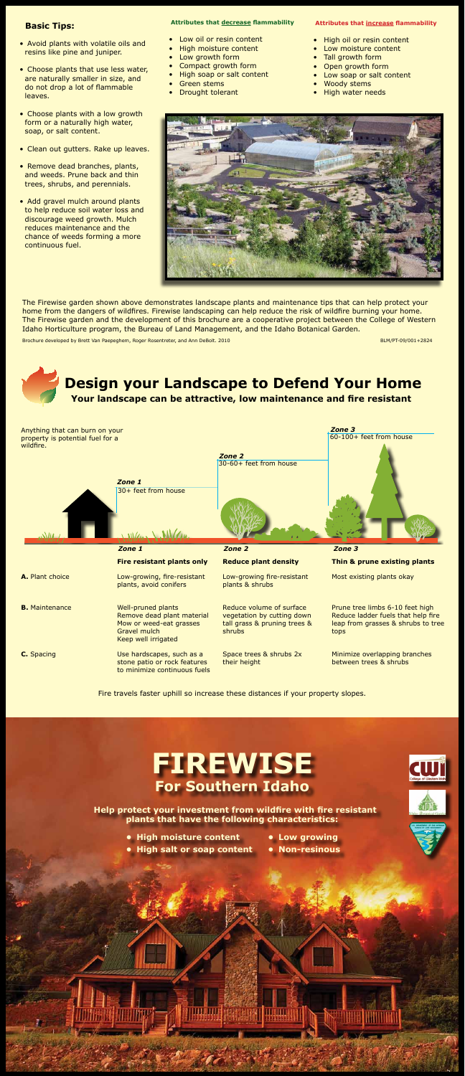## **Attributes that decrease flammability**

- Low oil or resin content
- **High moisture content**
- Low growth form
- Compact growth form
- High soap or salt content
- • Green stems
- Drought tolerant

**FIREWISE For Southern Idaho** 

**Help protect your investment from wildfire with fire resistant plants that have the following characteristics:**

- **• High moisture content**
- **• Low growing**
- 



- 
- **• High salt or soap content • Non-resinous**



The Firewise garden shown above demonstrates landscape plants and maintenance tips that can help protect your home from the dangers of wildfires. Firewise landscaping can help reduce the risk of wildfire burning your home. The Firewise garden and the development of this brochure are a cooperative project between the College of Western Idaho Horticulture program, the Bureau of Land Management, and the Idaho Botanical Garden.

Brochure developed by Brett Van Paepeghem, Roger Rosentreter, and Ann DeBolt. 2010 BLM/PT-09/001+2824 BLM/PT-09/001+2824

### **Attributes that increase flammability**

- High oil or resin content
- Low moisture content
- Tall growth form
- • Open growth form
- Low soap or salt content
- **Woody stems**
- **High water needs**





- Avoid plants with volatile oils and resins like pine and juniper.
- Choose plants that use less water, are naturally smaller in size, and do not drop a lot of flammable leaves.
- Choose plants with a low growth form or a naturally high water, soap, or salt content.
- Clean out gutters. Rake up leaves.
- Remove dead branches, plants, and weeds. Prune back and thin trees, shrubs, and perennials.
- Add gravel mulch around plants to help reduce soil water loss and discourage weed growth. Mulch reduces maintenance and the chance of weeds forming a more continuous fuel.

|                       | $M/\mu$ , $M/M/\mu$ .                                                                                              |                                                                                                         |                                                                                                                     |
|-----------------------|--------------------------------------------------------------------------------------------------------------------|---------------------------------------------------------------------------------------------------------|---------------------------------------------------------------------------------------------------------------------|
|                       | Zone 1                                                                                                             | Zone 2                                                                                                  | Zone 3                                                                                                              |
|                       | <b>Fire resistant plants only</b>                                                                                  | <b>Reduce plant density</b>                                                                             | Thin & prune existing plants                                                                                        |
| A. Plant choice       | Low-growing, fire-resistant<br>plants, avoid conifers                                                              | Low-growing fire-resistant<br>plants & shrubs                                                           | Most existing plants okay                                                                                           |
| <b>B.</b> Maintenance | Well-pruned plants<br>Remove dead plant material<br>Mow or weed-eat grasses<br>Gravel mulch<br>Keep well irrigated | Reduce volume of surface<br>vegetation by cutting down<br>tall grass & pruning trees &<br><b>shrubs</b> | Prune tree limbs 6-10 feet high<br>Reduce ladder fuels that help fire<br>leap from grasses & shrubs to tree<br>tops |
| <b>C.</b> Spacing     | Use hardscapes, such as a<br>stone patio or rock features<br>to minimize continuous fuels                          | Space trees & shrubs 2x<br>their height                                                                 | Minimize overlapping branches<br>between trees & shrubs                                                             |



Fire travels faster uphill so increase these distances if your property slopes.

# **Basic Tips:**